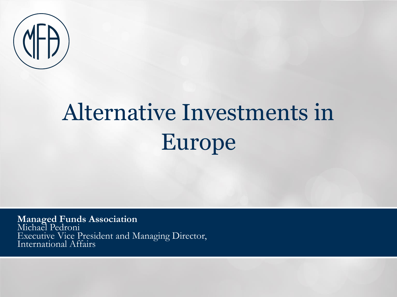

# Alternative Investments in Europe

**Managed Funds Association** Michael Pedroni Executive Vice President and Managing Director, International Affairs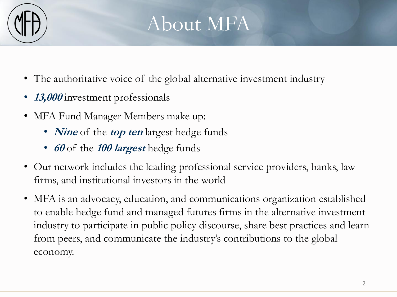

#### About MFA

- The authoritative voice of the global alternative investment industry
- **13,000** investment professionals
- MFA Fund Manager Members make up:
	- *Nine* of the *top ten* largest hedge funds
	- **<sup>60</sup>** of the **100 largest** hedge funds
- Our network includes the leading professional service providers, banks, law firms, and institutional investors in the world
- MFA is an advocacy, education, and communications organization established to enable hedge fund and managed futures firms in the alternative investment industry to participate in public policy discourse, share best practices and learn from peers, and communicate the industry's contributions to the global economy.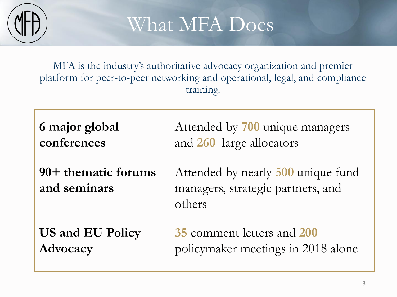

### What MFA Does

MFA is the industry's authoritative advocacy organization and premier platform for peer-to-peer networking and operational, legal, and compliance training.

**6 major global conferences** Attended by **700** unique managers and **260** large allocators **90+ thematic forums and seminars** Attended by nearly **500** unique fund managers, strategic partners, and others **US and EU Policy Advocacy 35** comment letters and **200** policymaker meetings in 2018 alone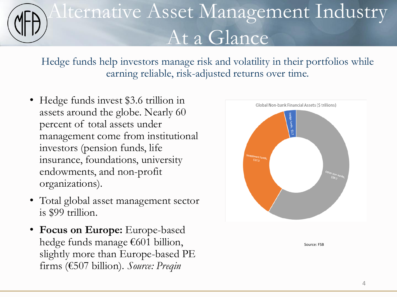## Alternative Asset Management Industry At a Glance

Hedge funds help investors manage risk and volatility in their portfolios while earning reliable, risk-adjusted returns over time.

- Hedge funds invest \$3.6 trillion in assets around the globe. Nearly 60 percent of total assets under management come from institutional investors (pension funds, life insurance, foundations, university endowments, and non-profit organizations).
- Total global asset management sector is \$99 trillion.
- **Focus on Europe:** Europe-based hedge funds manage €601 billion, slightly more than Europe-based PE firms (€507 billion). *Source: Preqin*



Source: FSB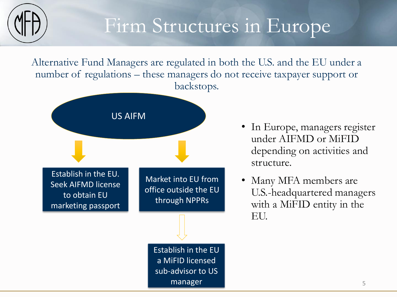

#### Firm Structures in Europe

Alternative Fund Managers are regulated in both the U.S. and the EU under a number of regulations – these managers do not receive taxpayer support or backstops.



- In Europe, managers register under AIFMD or MiFID depending on activities and structure.
- Many MFA members are U.S.-headquartered managers with a MiFID entity in the EU.